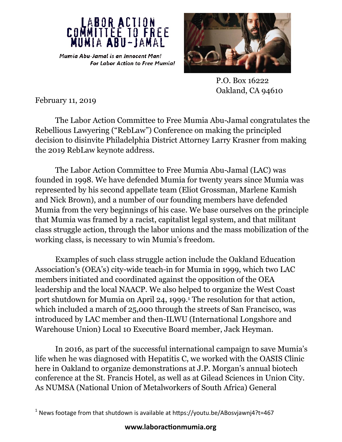



 P.O. Box 16222 Oakland, CA 94610

February 11, 2019

The Labor Action Committee to Free Mumia Abu-Jamal congratulates the Rebellious Lawyering ("RebLaw") Conference on making the principled decision to disinvite Philadelphia District Attorney Larry Krasner from making the 2019 RebLaw keynote address.

The Labor Action Committee to Free Mumia Abu-Jamal (LAC) was founded in 1998. We have defended Mumia for twenty years since Mumia was represented by his second appellate team (Eliot Grossman, Marlene Kamish and Nick Brown), and a number of our founding members have defended Mumia from the very beginnings of his case. We base ourselves on the principle that Mumia was framed by a racist, capitalist legal system, and that militant class struggle action, through the labor unions and the mass mobilization of the working class, is necessary to win Mumia's freedom.

Examples of such class struggle action include the Oakland Education Association's (OEA's) city-wide teach-in for Mumia in 1999, which two LAC members initiated and coordinated against the opposition of the OEA leadership and the local NAACP. We also helped to organize the West Coast port shutdown for Mumia on April 24, 1999.<sup>1</sup> The resolution for that action, which included a march of 25,000 through the streets of San Francisco, was introduced by LAC member and then-ILWU (International Longshore and Warehouse Union) Local 10 Executive Board member, Jack Heyman.

In 2016, as part of the successful international campaign to save Mumia's life when he was diagnosed with Hepatitis C, we worked with the OASIS Clinic here in Oakland to organize demonstrations at J.P. Morgan's annual biotech conference at the St. Francis Hotel, as well as at Gilead Sciences in Union City. As NUMSA (National Union of Metalworkers of South Africa) General

 $1$  News footage from that shutdown is available at https://youtu.be/ABosvjawnj4?t=467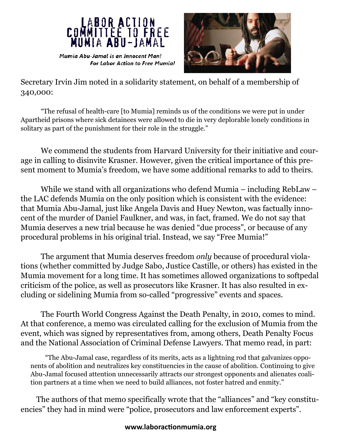



Secretary Irvin Jim noted in a solidarity statement, on behalf of a membership of 340,000:

"The refusal of health-care [to Mumia] reminds us of the conditions we were put in under Apartheid prisons where sick detainees were allowed to die in very deplorable lonely conditions in solitary as part of the punishment for their role in the struggle."

 We commend the students from Harvard University for their initiative and courage in calling to disinvite Krasner. However, given the critical importance of this present moment to Mumia's freedom, we have some additional remarks to add to theirs.

While we stand with all organizations who defend Mumia – including RebLaw – the LAC defends Mumia on the only position which is consistent with the evidence: that Mumia Abu-Jamal, just like Angela Davis and Huey Newton, was factually innocent of the murder of Daniel Faulkner, and was, in fact, framed. We do not say that Mumia deserves a new trial because he was denied "due process", or because of any procedural problems in his original trial. Instead, we say "Free Mumia!"

The argument that Mumia deserves freedom *only* because of procedural violations (whether committed by Judge Sabo, Justice Castille, or others) has existed in the Mumia movement for a long time. It has sometimes allowed organizations to softpedal criticism of the police, as well as prosecutors like Krasner. It has also resulted in excluding or sidelining Mumia from so-called "progressive" events and spaces.

The Fourth World Congress Against the Death Penalty, in 2010, comes to mind. At that conference, a memo was circulated calling for the exclusion of Mumia from the event, which was signed by representatives from, among others, Death Penalty Focus and the National Association of Criminal Defense Lawyers. That memo read, in part:

"The Abu-Jamal case, regardless of its merits, acts as a lightning rod that galvanizes opponents of abolition and neutralizes key constituencies in the cause of abolition. Continuing to give Abu-Jamal focused attention unnecessarily attracts our strongest opponents and alienates coalition partners at a time when we need to build alliances, not foster hatred and enmity."

The authors of that memo specifically wrote that the "alliances" and "key constituencies" they had in mind were "police, prosecutors and law enforcement experts".

## **www.laboractionmumia.org**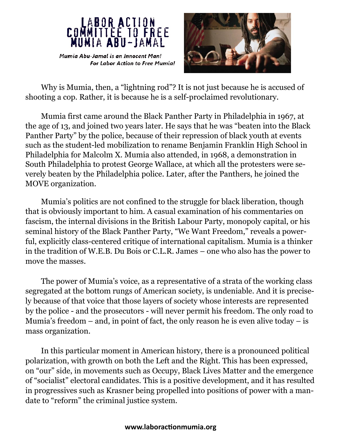



Why is Mumia, then, a "lightning rod"? It is not just because he is accused of shooting a cop. Rather, it is because he is a self-proclaimed revolutionary.

Mumia first came around the Black Panther Party in Philadelphia in 1967, at the age of 13, and joined two years later. He says that he was "beaten into the Black Panther Party" by the police, because of their repression of black youth at events such as the student-led mobilization to rename Benjamin Franklin High School in Philadelphia for Malcolm X. Mumia also attended, in 1968, a demonstration in South Philadelphia to protest George Wallace, at which all the protesters were severely beaten by the Philadelphia police. Later, after the Panthers, he joined the MOVE organization.

Mumia's politics are not confined to the struggle for black liberation, though that is obviously important to him. A casual examination of his commentaries on fascism, the internal divisions in the British Labour Party, monopoly capital, or his seminal history of the Black Panther Party, "We Want Freedom," reveals a powerful, explicitly class-centered critique of international capitalism. Mumia is a thinker in the tradition of W.E.B. Du Bois or C.L.R. James – one who also has the power to move the masses.

The power of Mumia's voice, as a representative of a strata of the working class segregated at the bottom rungs of American society, is undeniable. And it is precisely because of that voice that those layers of society whose interests are represented by the police - and the prosecutors - will never permit his freedom. The only road to Mumia's freedom – and, in point of fact, the only reason he is even alive today – is mass organization.

In this particular moment in American history, there is a pronounced political polarization, with growth on both the Left and the Right. This has been expressed, on "our" side, in movements such as Occupy, Black Lives Matter and the emergence of "socialist" electoral candidates. This is a positive development, and it has resulted in progressives such as Krasner being propelled into positions of power with a mandate to "reform" the criminal justice system.